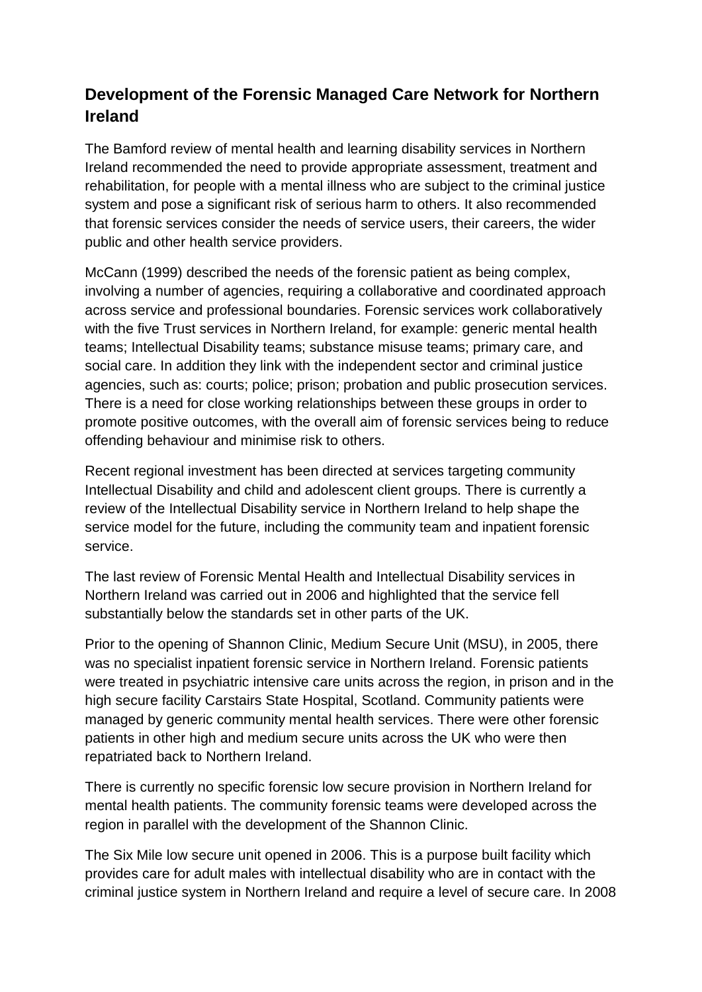## **Development of the Forensic Managed Care Network for Northern Ireland**

The Bamford review of mental health and learning disability services in Northern Ireland recommended the need to provide appropriate assessment, treatment and rehabilitation, for people with a mental illness who are subject to the criminal justice system and pose a significant risk of serious harm to others. It also recommended that forensic services consider the needs of service users, their careers, the wider public and other health service providers.

McCann (1999) described the needs of the forensic patient as being complex, involving a number of agencies, requiring a collaborative and coordinated approach across service and professional boundaries. Forensic services work collaboratively with the five Trust services in Northern Ireland, for example: generic mental health teams; Intellectual Disability teams; substance misuse teams; primary care, and social care. In addition they link with the independent sector and criminal justice agencies, such as: courts; police; prison; probation and public prosecution services. There is a need for close working relationships between these groups in order to promote positive outcomes, with the overall aim of forensic services being to reduce offending behaviour and minimise risk to others.

Recent regional investment has been directed at services targeting community Intellectual Disability and child and adolescent client groups. There is currently a review of the Intellectual Disability service in Northern Ireland to help shape the service model for the future, including the community team and inpatient forensic service.

The last review of Forensic Mental Health and Intellectual Disability services in Northern Ireland was carried out in 2006 and highlighted that the service fell substantially below the standards set in other parts of the UK.

Prior to the opening of Shannon Clinic, Medium Secure Unit (MSU), in 2005, there was no specialist inpatient forensic service in Northern Ireland. Forensic patients were treated in psychiatric intensive care units across the region, in prison and in the high secure facility Carstairs State Hospital, Scotland. Community patients were managed by generic community mental health services. There were other forensic patients in other high and medium secure units across the UK who were then repatriated back to Northern Ireland.

There is currently no specific forensic low secure provision in Northern Ireland for mental health patients. The community forensic teams were developed across the region in parallel with the development of the Shannon Clinic.

The Six Mile low secure unit opened in 2006. This is a purpose built facility which provides care for adult males with intellectual disability who are in contact with the criminal justice system in Northern Ireland and require a level of secure care. In 2008